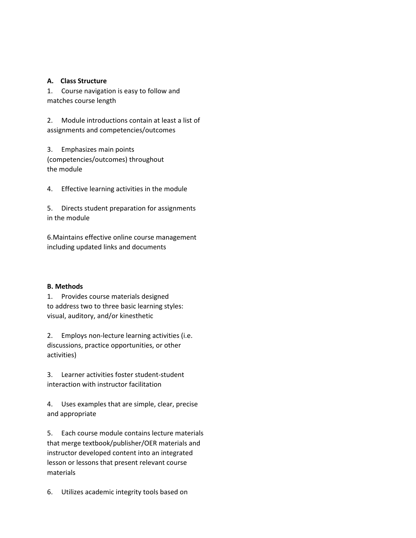## **A. Class Structure**

1. Course navigation is easy to follow and matches course length

2. Module introductions contain at least a list of assignments and competencies/outcomes

3. Emphasizes main points (competencies/outcomes) throughout the module

4. Effective learning activities in the module

5. Directs student preparation for assignments in the module

6.Maintains effective online course management including updated links and documents

## **B. Methods**

1. Provides course materials designed to address two to three basic learning styles: visual, auditory, and/or kinesthetic

2. Employs non-lecture learning activities (i.e. discussions, practice opportunities, or other activities)

3. Learner activities foster student-student interaction with instructor facilitation

4. Uses examples that are simple, clear, precise and appropriate

5. Each course module contains lecture materials that merge textbook/publisher/OER materials and instructor developed content into an integrated lesson or lessons that present relevant course materials

6. Utilizes academic integrity tools based on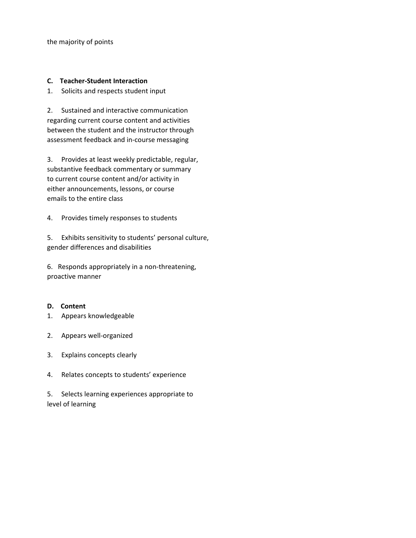the majority of points

## **C. Teacher-Student Interaction**

1. Solicits and respects student input

2. Sustained and interactive communication regarding current course content and activities between the student and the instructor through assessment feedback and in-course messaging

3. Provides at least weekly predictable, regular, substantive feedback commentary or summary to current course content and/or activity in either announcements, lessons, or course emails to the entire class

4. Provides timely responses to students

5. Exhibits sensitivity to students' personal culture, gender differences and disabilities

6. Responds appropriately in a non-threatening, proactive manner

## **D. Content**

- 1. Appears knowledgeable
- 2. Appears well-organized
- 3. Explains concepts clearly
- 4. Relates concepts to students' experience

5. Selects learning experiences appropriate to level of learning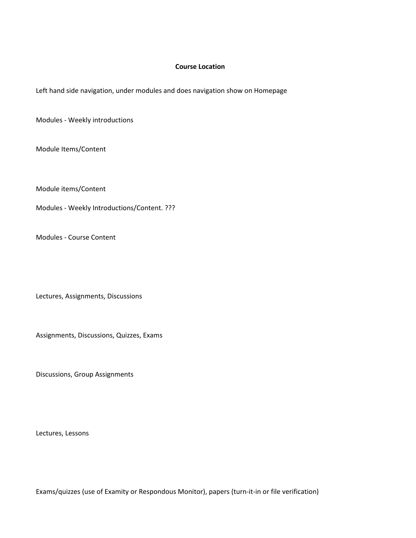## **Course Location**

Left hand side navigation, under modules and does navigation show on Homepage

Modules - Weekly introductions

Module Items/Content

Module items/Content

Modules - Weekly Introductions/Content. ???

Modules - Course Content

Lectures, Assignments, Discussions

Assignments, Discussions, Quizzes, Exams

Discussions, Group Assignments

Lectures, Lessons

Exams/quizzes (use of Examity or Respondous Monitor), papers (turn-it-in or file verification)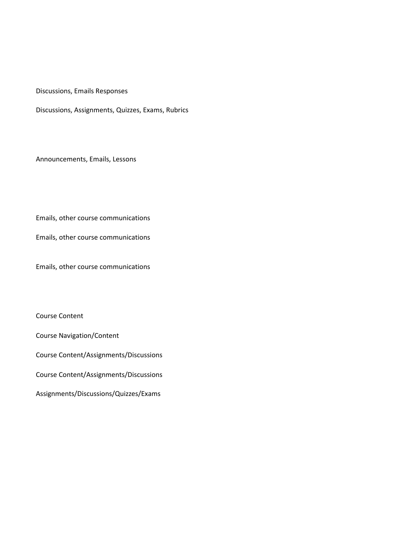Discussions, Emails Responses

Discussions, Assignments, Quizzes, Exams, Rubrics

Announcements, Emails, Lessons

Emails, other course communications

Emails, other course communications

Emails, other course communications

Course Content

Course Navigation/Content

Course Content/Assignments/Discussions

Course Content/Assignments/Discussions

Assignments/Discussions/Quizzes/Exams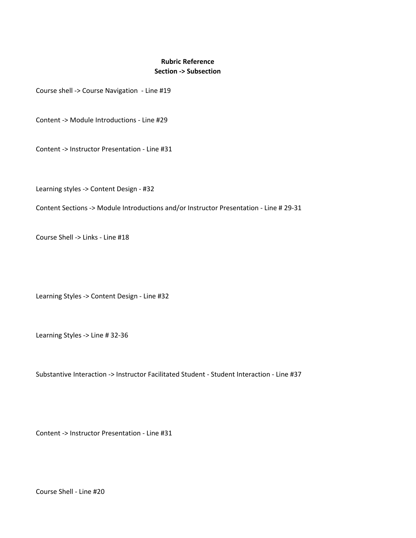# **Rubric Reference Section -> Subsection**

Course shell -> Course Navigation - Line #19

Content -> Module Introductions - Line #29

Content -> Instructor Presentation - Line #31

Learning styles -> Content Design - #32

Content Sections -> Module Introductions and/or Instructor Presentation - Line # 29-31

Course Shell -> Links - Line #18

Learning Styles -> Content Design - Line #32

Learning Styles -> Line # 32-36

Substantive Interaction -> Instructor Facilitated Student - Student Interaction - Line #37

Content -> Instructor Presentation - Line #31